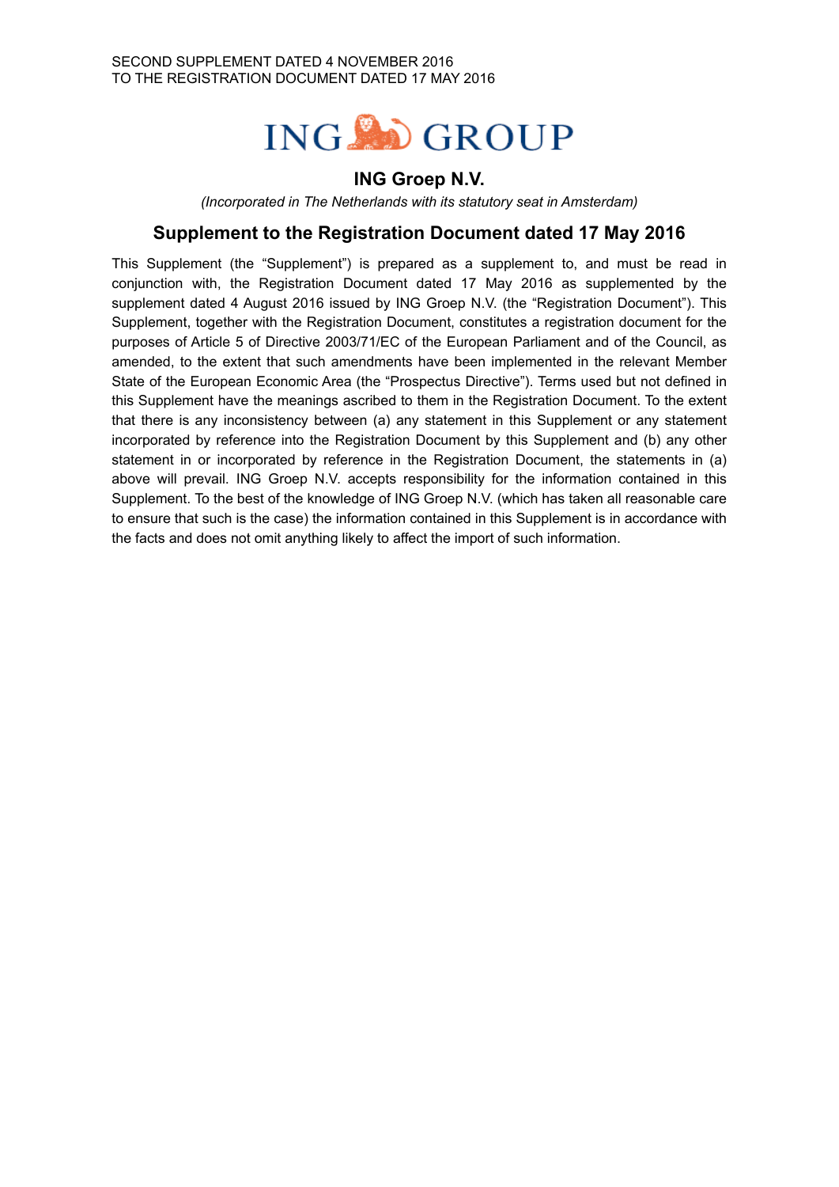

# **ING Groep N.V.**

*(Incorporated in The Netherlands with its statutory seat in Amsterdam)*

# **Supplement to the Registration Document dated 17 May 2016**

This Supplement (the "Supplement") is prepared as a supplement to, and must be read in conjunction with, the Registration Document dated 17 May 2016 as supplemented by the supplement dated 4 August 2016 issued by ING Groep N.V. (the "Registration Document"). This Supplement, together with the Registration Document, constitutes a registration document for the purposes of Article 5 of Directive 2003/71/EC of the European Parliament and of the Council, as amended, to the extent that such amendments have been implemented in the relevant Member State of the European Economic Area (the "Prospectus Directive"). Terms used but not defined in this Supplement have the meanings ascribed to them in the Registration Document. To the extent that there is any inconsistency between (a) any statement in this Supplement or any statement incorporated by reference into the Registration Document by this Supplement and (b) any other statement in or incorporated by reference in the Registration Document, the statements in (a) above will prevail. ING Groep N.V. accepts responsibility for the information contained in this Supplement. To the best of the knowledge of ING Groep N.V. (which has taken all reasonable care to ensure that such is the case) the information contained in this Supplement is in accordance with the facts and does not omit anything likely to affect the import of such information.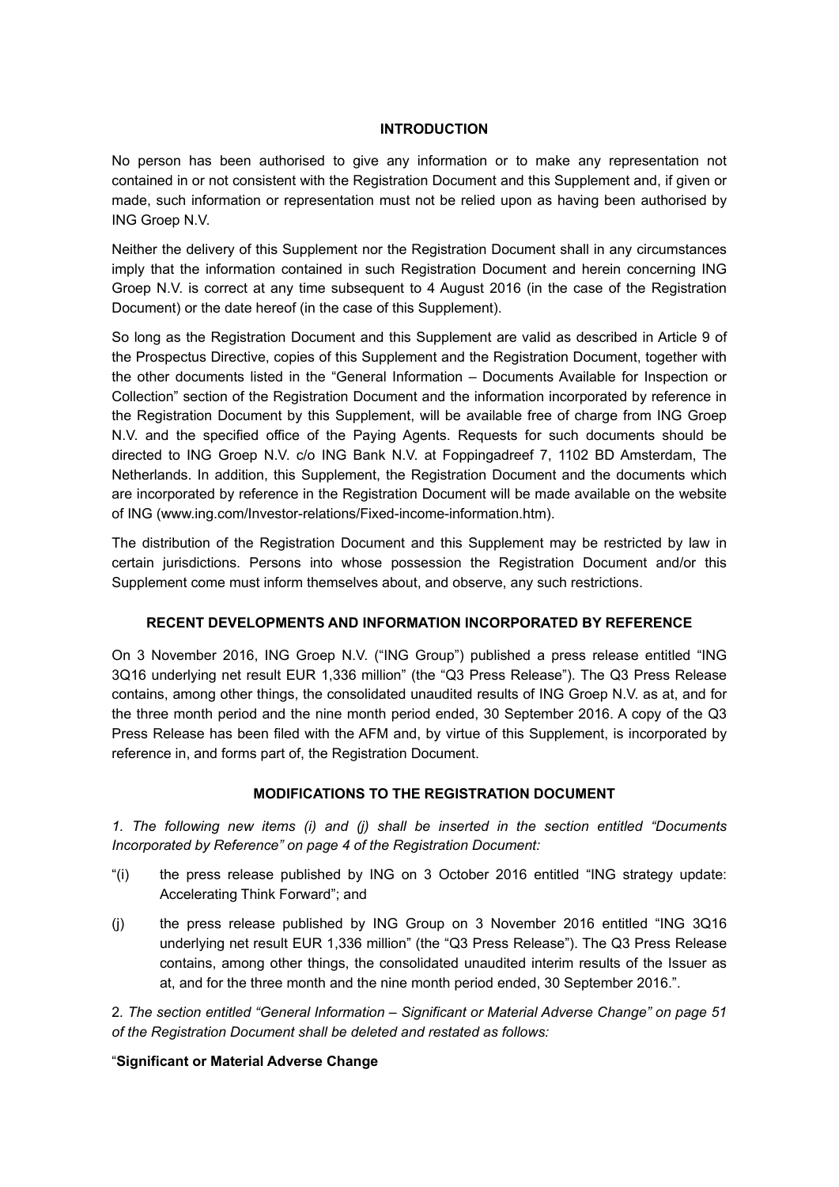#### **INTRODUCTION**

No person has been authorised to give any information or to make any representation not contained in or not consistent with the Registration Document and this Supplement and, if given or made, such information or representation must not be relied upon as having been authorised by ING Groep N.V.

Neither the delivery of this Supplement nor the Registration Document shall in any circumstances imply that the information contained in such Registration Document and herein concerning ING Groep N.V. is correct at any time subsequent to 4 August 2016 (in the case of the Registration Document) or the date hereof (in the case of this Supplement).

So long as the Registration Document and this Supplement are valid as described in Article 9 of the Prospectus Directive, copies of this Supplement and the Registration Document, together with the other documents listed in the "General Information – Documents Available for Inspection or Collection" section of the Registration Document and the information incorporated by reference in the Registration Document by this Supplement, will be available free of charge from ING Groep N.V. and the specified office of the Paying Agents. Requests for such documents should be directed to ING Groep N.V. c/o ING Bank N.V. at Foppingadreef 7, 1102 BD Amsterdam, The Netherlands. In addition, this Supplement, the Registration Document and the documents which are incorporated by reference in the Registration Document will be made available on the website of ING (www.ing.com/Investor-relations/Fixed-income-information.htm).

The distribution of the Registration Document and this Supplement may be restricted by law in certain jurisdictions. Persons into whose possession the Registration Document and/or this Supplement come must inform themselves about, and observe, any such restrictions.

### **RECENT DEVELOPMENTS AND INFORMATION INCORPORATED BY REFERENCE**

On 3 November 2016, ING Groep N.V. ("ING Group") published a press release entitled "ING 3Q16 underlying net result EUR 1,336 million" (the "Q3 Press Release"). The Q3 Press Release contains, among other things, the consolidated unaudited results of ING Groep N.V. as at, and for the three month period and the nine month period ended, 30 September 2016. A copy of the Q3 Press Release has been filed with the AFM and, by virtue of this Supplement, is incorporated by reference in, and forms part of, the Registration Document.

### **MODIFICATIONS TO THE REGISTRATION DOCUMENT**

*1. The following new items (i) and (j) shall be inserted in the section entitled "Documents Incorporated by Reference" on page 4 of the Registration Document:*

- "(i) the press release published by ING on 3 October 2016 entitled "ING strategy update: Accelerating Think Forward"; and
- (j) the press release published by ING Group on 3 November 2016 entitled "ING 3Q16 underlying net result EUR 1,336 million" (the "Q3 Press Release"). The Q3 Press Release contains, among other things, the consolidated unaudited interim results of the Issuer as at, and for the three month and the nine month period ended, 30 September 2016.".

2*. The section entitled "General Information – Significant or Material Adverse Change" on page 51 of the Registration Document shall be deleted and restated as follows:*

#### "**Significant or Material Adverse Change**